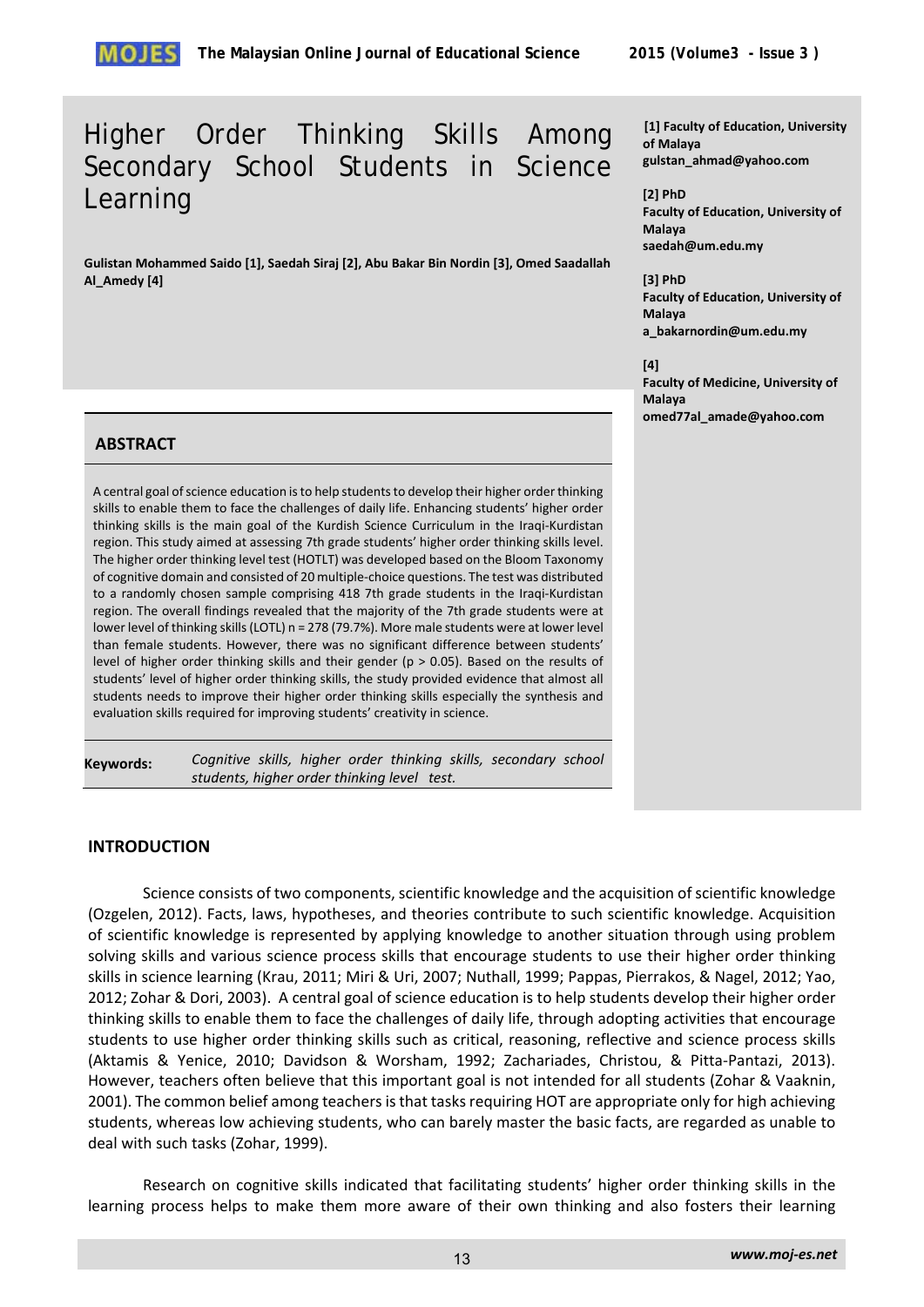# Higher Order Thinking Skills Among Secondary School Students in Science Learning

**Gulistan Mohammed Saido [1], Saedah Siraj [2], Abu Bakar Bin Nordin [3], Omed Saadallah Al\_Amedy [4]** 

#### **[1] Faculty of Education, University of Malaya gulstan\_ahmad@yahoo.com**

**[2] PhD Faculty of Education, University of Malaya saedah@um.edu.my**

**[3] PhD Faculty of Education, University of Malaya a\_bakarnordin@um.edu.my** 

**[4] Faculty of Medicine, University of Malaya omed77al\_amade@yahoo.com** 

## **ABSTRACT**

A central goal of science education is to help students to develop their higher order thinking skills to enable them to face the challenges of daily life. Enhancing students' higher order thinking skills is the main goal of the Kurdish Science Curriculum in the Iraqi-Kurdistan region. This study aimed at assessing 7th grade students' higher order thinking skills level. The higher order thinking level test (HOTLT) was developed based on the Bloom Taxonomy of cognitive domain and consisted of 20 multiple-choice questions. The test was distributed to a randomly chosen sample comprising 418 7th grade students in the Iraqi-Kurdistan region. The overall findings revealed that the majority of the 7th grade students were at lower level of thinking skills (LOTL) n = 278 (79.7%). More male students were at lower level than female students. However, there was no significant difference between students' level of higher order thinking skills and their gender ( $p > 0.05$ ). Based on the results of students' level of higher order thinking skills, the study provided evidence that almost all students needs to improve their higher order thinking skills especially the synthesis and evaluation skills required for improving students' creativity in science.

**Keywords:** *Cognitive skills, higher order thinking skills, secondary school students, higher order thinking level test.*

## **INTRODUCTION**

Science consists of two components, scientific knowledge and the acquisition of scientific knowledge (Ozgelen, 2012). Facts, laws, hypotheses, and theories contribute to such scientific knowledge. Acquisition of scientific knowledge is represented by applying knowledge to another situation through using problem solving skills and various science process skills that encourage students to use their higher order thinking skills in science learning (Krau, 2011; Miri & Uri, 2007; Nuthall, 1999; Pappas, Pierrakos, & Nagel, 2012; Yao, 2012; Zohar & Dori, 2003). A central goal of science education is to help students develop their higher order thinking skills to enable them to face the challenges of daily life, through adopting activities that encourage students to use higher order thinking skills such as critical, reasoning, reflective and science process skills (Aktamis & Yenice, 2010; Davidson & Worsham, 1992; Zachariades, Christou, & Pitta-Pantazi, 2013). However, teachers often believe that this important goal is not intended for all students (Zohar & Vaaknin, 2001). The common belief among teachers is that tasks requiring HOT are appropriate only for high achieving students, whereas low achieving students, who can barely master the basic facts, are regarded as unable to deal with such tasks (Zohar, 1999).

Research on cognitive skills indicated that facilitating students' higher order thinking skills in the learning process helps to make them more aware of their own thinking and also fosters their learning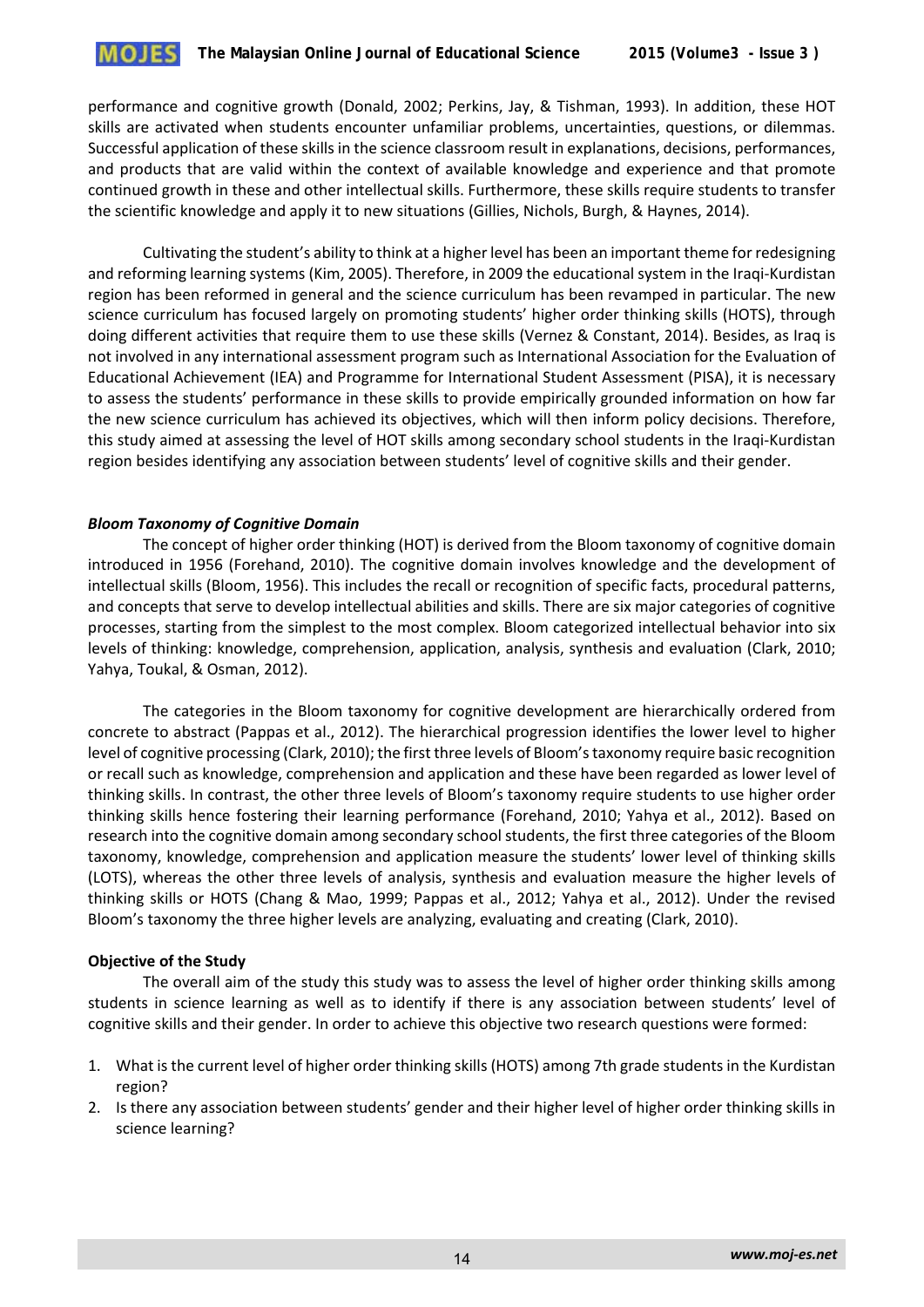performance and cognitive growth (Donald, 2002; Perkins, Jay, & Tishman, 1993). In addition, these HOT skills are activated when students encounter unfamiliar problems, uncertainties, questions, or dilemmas. Successful application of these skills in the science classroom result in explanations, decisions, performances, and products that are valid within the context of available knowledge and experience and that promote continued growth in these and other intellectual skills. Furthermore, these skills require students to transfer the scientific knowledge and apply it to new situations (Gillies, Nichols, Burgh, & Haynes, 2014).

Cultivating the student's ability to think at a higher level has been an important theme for redesigning and reforming learning systems (Kim, 2005). Therefore, in 2009 the educational system in the Iraqi-Kurdistan region has been reformed in general and the science curriculum has been revamped in particular. The new science curriculum has focused largely on promoting students' higher order thinking skills (HOTS), through doing different activities that require them to use these skills (Vernez & Constant, 2014). Besides, as Iraq is not involved in any international assessment program such as International Association for the Evaluation of Educational Achievement (IEA) and Programme for International Student Assessment (PISA), it is necessary to assess the students' performance in these skills to provide empirically grounded information on how far the new science curriculum has achieved its objectives, which will then inform policy decisions. Therefore, this study aimed at assessing the level of HOT skills among secondary school students in the Iraqi-Kurdistan region besides identifying any association between students' level of cognitive skills and their gender.

### *Bloom Taxonomy of Cognitive Domain*

The concept of higher order thinking (HOT) is derived from the Bloom taxonomy of cognitive domain introduced in 1956 (Forehand, 2010). The cognitive domain involves knowledge and the development of intellectual skills (Bloom, 1956). This includes the recall or recognition of specific facts, procedural patterns, and concepts that serve to develop intellectual abilities and skills. There are six major categories of cognitive processes, starting from the simplest to the most complex. Bloom categorized intellectual behavior into six levels of thinking: knowledge, comprehension, application, analysis, synthesis and evaluation (Clark, 2010; Yahya, Toukal, & Osman, 2012).

The categories in the Bloom taxonomy for cognitive development are hierarchically ordered from concrete to abstract (Pappas et al., 2012). The hierarchical progression identifies the lower level to higher level of cognitive processing (Clark, 2010); the first three levels of Bloom's taxonomy require basic recognition or recall such as knowledge, comprehension and application and these have been regarded as lower level of thinking skills. In contrast, the other three levels of Bloom's taxonomy require students to use higher order thinking skills hence fostering their learning performance (Forehand, 2010; Yahya et al., 2012). Based on research into the cognitive domain among secondary school students, the first three categories of the Bloom taxonomy, knowledge, comprehension and application measure the students' lower level of thinking skills (LOTS), whereas the other three levels of analysis, synthesis and evaluation measure the higher levels of thinking skills or HOTS (Chang & Mao, 1999; Pappas et al., 2012; Yahya et al., 2012). Under the revised Bloom's taxonomy the three higher levels are analyzing, evaluating and creating (Clark, 2010).

#### **Objective of the Study**

The overall aim of the study this study was to assess the level of higher order thinking skills among students in science learning as well as to identify if there is any association between students' level of cognitive skills and their gender. In order to achieve this objective two research questions were formed:

- 1. What is the current level of higher order thinking skills (HOTS) among 7th grade students in the Kurdistan region?
- 2. Is there any association between students' gender and their higher level of higher order thinking skills in science learning?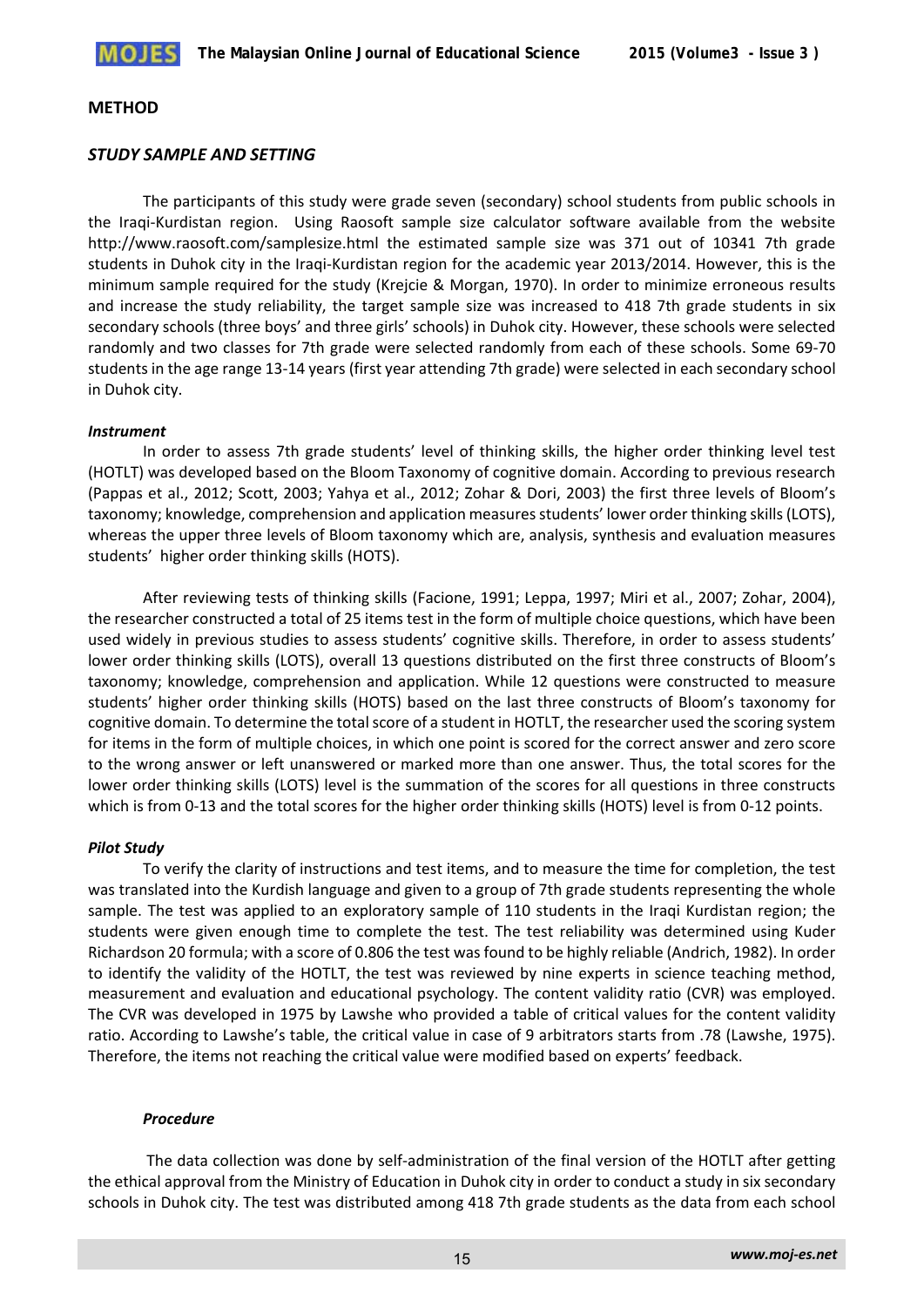#### **METHOD**

### *STUDY SAMPLE AND SETTING*

The participants of this study were grade seven (secondary) school students from public schools in the Iraqi-Kurdistan region. Using Raosoft sample size calculator software available from the website http://www.raosoft.com/samplesize.html the estimated sample size was 371 out of 10341 7th grade students in Duhok city in the Iraqi-Kurdistan region for the academic year 2013/2014. However, this is the minimum sample required for the study (Krejcie & Morgan, 1970). In order to minimize erroneous results and increase the study reliability, the target sample size was increased to 418 7th grade students in six secondary schools (three boys' and three girls' schools) in Duhok city. However, these schools were selected randomly and two classes for 7th grade were selected randomly from each of these schools. Some 69-70 students in the age range 13-14 years (first year attending 7th grade) were selected in each secondary school in Duhok city.

#### *Instrument*

In order to assess 7th grade students' level of thinking skills, the higher order thinking level test (HOTLT) was developed based on the Bloom Taxonomy of cognitive domain. According to previous research (Pappas et al., 2012; Scott, 2003; Yahya et al., 2012; Zohar & Dori, 2003) the first three levels of Bloom's taxonomy; knowledge, comprehension and application measures students' lower order thinking skills (LOTS), whereas the upper three levels of Bloom taxonomy which are, analysis, synthesis and evaluation measures students' higher order thinking skills (HOTS).

After reviewing tests of thinking skills (Facione, 1991; Leppa, 1997; Miri et al., 2007; Zohar, 2004), the researcher constructed a total of 25 items test in the form of multiple choice questions, which have been used widely in previous studies to assess students' cognitive skills. Therefore, in order to assess students' lower order thinking skills (LOTS), overall 13 questions distributed on the first three constructs of Bloom's taxonomy; knowledge, comprehension and application. While 12 questions were constructed to measure students' higher order thinking skills (HOTS) based on the last three constructs of Bloom's taxonomy for cognitive domain. To determine the total score of a student in HOTLT, the researcher used the scoring system for items in the form of multiple choices, in which one point is scored for the correct answer and zero score to the wrong answer or left unanswered or marked more than one answer. Thus, the total scores for the lower order thinking skills (LOTS) level is the summation of the scores for all questions in three constructs which is from 0-13 and the total scores for the higher order thinking skills (HOTS) level is from 0-12 points.

## *Pilot Study*

To verify the clarity of instructions and test items, and to measure the time for completion, the test was translated into the Kurdish language and given to a group of 7th grade students representing the whole sample. The test was applied to an exploratory sample of 110 students in the Iraqi Kurdistan region; the students were given enough time to complete the test. The test reliability was determined using Kuder Richardson 20 formula; with a score of 0.806 the test was found to be highly reliable (Andrich, 1982). In order to identify the validity of the HOTLT, the test was reviewed by nine experts in science teaching method, measurement and evaluation and educational psychology. The content validity ratio (CVR) was employed. The CVR was developed in 1975 by Lawshe who provided a table of critical values for the content validity ratio. According to Lawshe's table, the critical value in case of 9 arbitrators starts from .78 (Lawshe, 1975). Therefore, the items not reaching the critical value were modified based on experts' feedback.

#### *Procedure*

The data collection was done by self-administration of the final version of the HOTLT after getting the ethical approval from the Ministry of Education in Duhok city in order to conduct a study in six secondary schools in Duhok city. The test was distributed among 418 7th grade students as the data from each school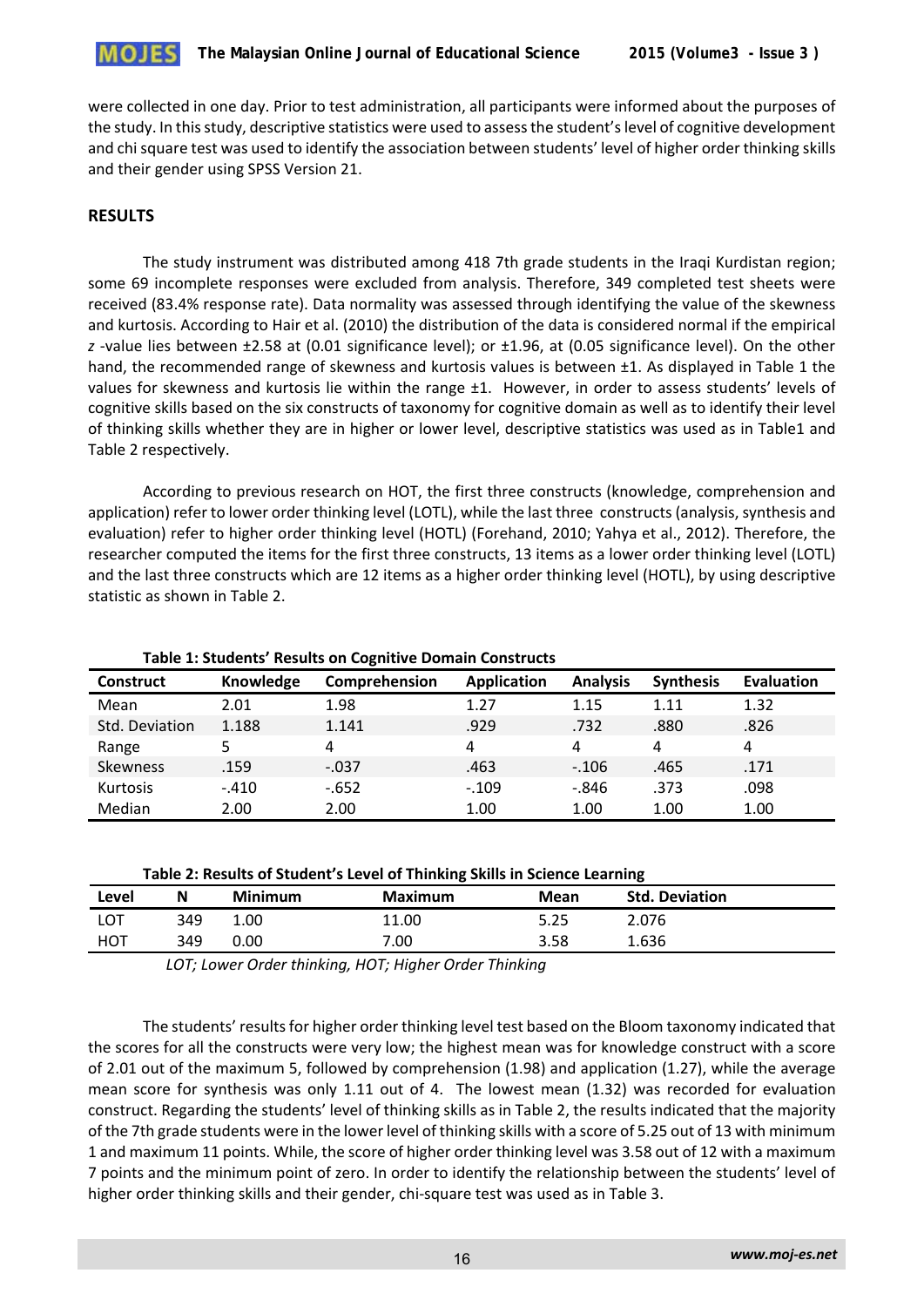

were collected in one day. Prior to test administration, all participants were informed about the purposes of the study. In this study, descriptive statistics were used to assess the student's level of cognitive development and chi square test was used to identify the association between students' level of higher order thinking skills and their gender using SPSS Version 21.

### **RESULTS**

The study instrument was distributed among 418 7th grade students in the Iraqi Kurdistan region; some 69 incomplete responses were excluded from analysis. Therefore, 349 completed test sheets were received (83.4% response rate). Data normality was assessed through identifying the value of the skewness and kurtosis. According to Hair et al. (2010) the distribution of the data is considered normal if the empirical *z* -value lies between ±2.58 at (0.01 significance level); or ±1.96, at (0.05 significance level). On the other hand, the recommended range of skewness and kurtosis values is between  $\pm 1$ . As displayed in Table 1 the values for skewness and kurtosis lie within the range ±1. However, in order to assess students' levels of cognitive skills based on the six constructs of taxonomy for cognitive domain as well as to identify their level of thinking skills whether they are in higher or lower level, descriptive statistics was used as in Table1 and Table 2 respectively.

According to previous research on HOT, the first three constructs (knowledge, comprehension and application) refer to lower order thinking level (LOTL), while the last three constructs (analysis, synthesis and evaluation) refer to higher order thinking level (HOTL) (Forehand, 2010; Yahya et al., 2012). Therefore, the researcher computed the items for the first three constructs, 13 items as a lower order thinking level (LOTL) and the last three constructs which are 12 items as a higher order thinking level (HOTL), by using descriptive statistic as shown in Table 2.

| <b>Construct</b> | Knowledge | $\sim$ , and $\sim$ , and $\sim$ , and the set of $\sim$ , and $\sim$ , and $\sim$ , and $\sim$ , and $\sim$<br>Comprehension | <b>Application</b> | <b>Analysis</b> | <b>Synthesis</b> | <b>Evaluation</b> |
|------------------|-----------|-------------------------------------------------------------------------------------------------------------------------------|--------------------|-----------------|------------------|-------------------|
| Mean             | 2.01      | 1.98                                                                                                                          | 1.27               | 1.15            | 1.11             | 1.32              |
| Std. Deviation   | 1.188     | 1.141                                                                                                                         | .929               | .732            | .880             | .826              |
| Range            |           | 4                                                                                                                             | 4                  | 4               | 4                | 4                 |
| <b>Skewness</b>  | .159      | $-.037$                                                                                                                       | .463               | $-.106$         | .465             | .171              |
| <b>Kurtosis</b>  | $-.410$   | $-652$                                                                                                                        | $-.109$            | $-846$          | .373             | .098              |
| Median           | 2.00      | 2.00                                                                                                                          | 1.00               | 1.00            | 1.00             | 1.00              |

**Table 1: Students' Results on Cognitive Domain Constructs**

| Table 2: Results of Student's Level of Thinking Skills in Science Learning |  |
|----------------------------------------------------------------------------|--|
|----------------------------------------------------------------------------|--|

| Level      | N   | <b>Minimum</b> | <b>Maximum</b> | Mean | <b>Std. Deviation</b> |
|------------|-----|----------------|----------------|------|-----------------------|
| <b>LOT</b> | 349 | 1.00           | 11.00          | 5.25 | 2.076                 |
| HOT        | 349 | 0.00           | 7.00           | 3.58 | 1.636                 |

 *LOT; Lower Order thinking, HOT; Higher Order Thinking* 

The students' results for higher order thinking level test based on the Bloom taxonomy indicated that the scores for all the constructs were very low; the highest mean was for knowledge construct with a score of 2.01 out of the maximum 5, followed by comprehension (1.98) and application (1.27), while the average mean score for synthesis was only 1.11 out of 4. The lowest mean (1.32) was recorded for evaluation construct. Regarding the students' level of thinking skills as in Table 2, the results indicated that the majority of the 7th grade students were in the lower level of thinking skills with a score of 5.25 out of 13 with minimum 1 and maximum 11 points. While, the score of higher order thinking level was 3.58 out of 12 with a maximum 7 points and the minimum point of zero. In order to identify the relationship between the students' level of higher order thinking skills and their gender, chi-square test was used as in Table 3.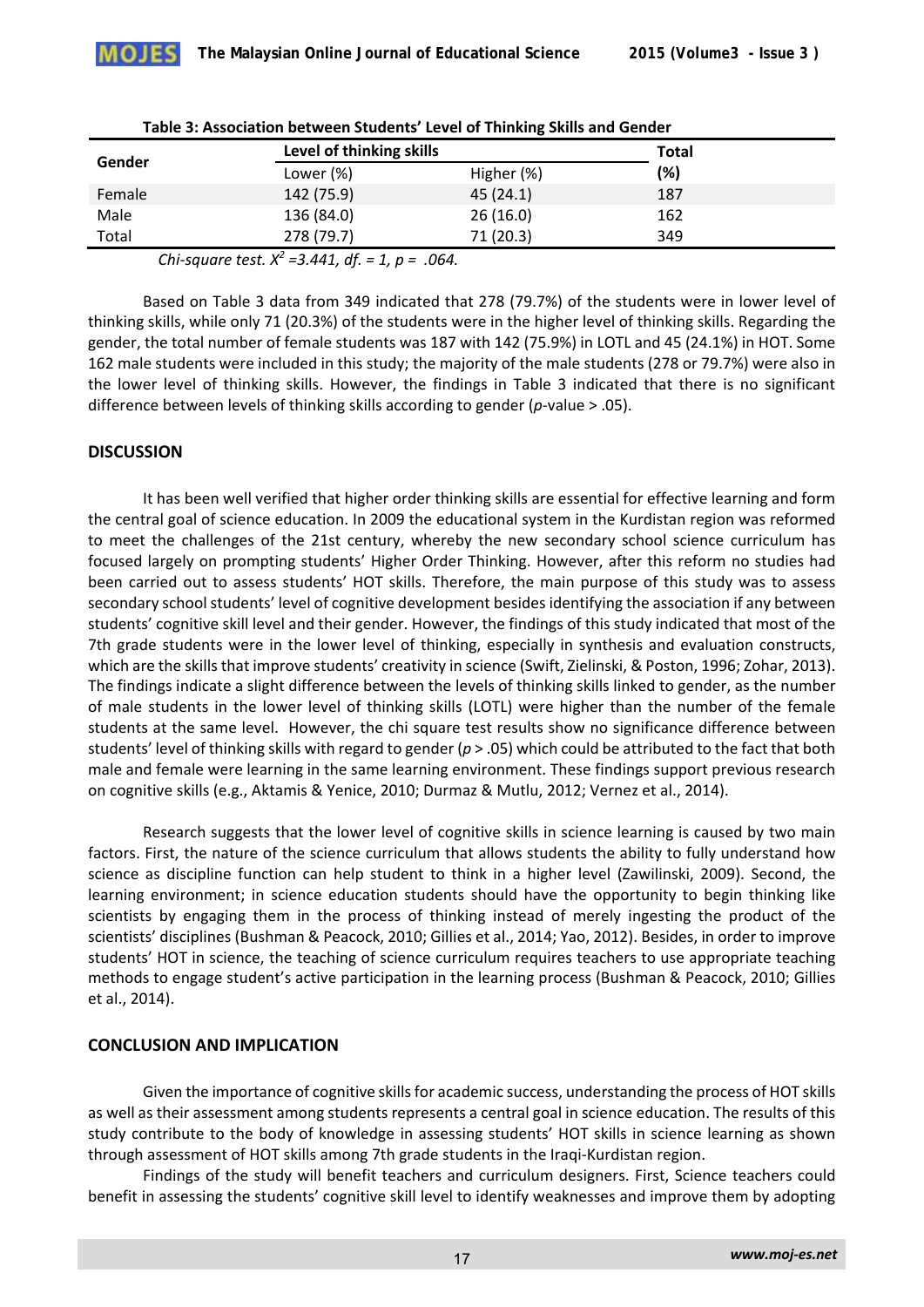|        | Level of thinking skills |            | <b>Total</b> |
|--------|--------------------------|------------|--------------|
| Gender | Lower $(\%)$             | Higher (%) | (%)          |
| Female | 142 (75.9)               | 45(24.1)   | 187          |
| Male   | 136 (84.0)               | 26(16.0)   | 162          |
| Total  | 278 (79.7)               | 71 (20.3)  | 349          |

| Table 3: Association between Students' Level of Thinking Skills and Gender |
|----------------------------------------------------------------------------|
|----------------------------------------------------------------------------|

*Chi-square test. X2 =3.441, df. = 1, p = .064.* 

Based on Table 3 data from 349 indicated that 278 (79.7%) of the students were in lower level of thinking skills, while only 71 (20.3%) of the students were in the higher level of thinking skills. Regarding the gender, the total number of female students was 187 with 142 (75.9%) in LOTL and 45 (24.1%) in HOT. Some 162 male students were included in this study; the majority of the male students (278 or 79.7%) were also in the lower level of thinking skills. However, the findings in Table 3 indicated that there is no significant difference between levels of thinking skills according to gender (*p*-value > .05).

## **DISCUSSION**

It has been well verified that higher order thinking skills are essential for effective learning and form the central goal of science education. In 2009 the educational system in the Kurdistan region was reformed to meet the challenges of the 21st century, whereby the new secondary school science curriculum has focused largely on prompting students' Higher Order Thinking. However, after this reform no studies had been carried out to assess students' HOT skills. Therefore, the main purpose of this study was to assess secondary school students' level of cognitive development besides identifying the association if any between students' cognitive skill level and their gender. However, the findings of this study indicated that most of the 7th grade students were in the lower level of thinking, especially in synthesis and evaluation constructs, which are the skills that improve students' creativity in science (Swift, Zielinski, & Poston, 1996; Zohar, 2013). The findings indicate a slight difference between the levels of thinking skills linked to gender, as the number of male students in the lower level of thinking skills (LOTL) were higher than the number of the female students at the same level. However, the chi square test results show no significance difference between students' level of thinking skills with regard to gender (*p* > .05) which could be attributed to the fact that both male and female were learning in the same learning environment. These findings support previous research on cognitive skills (e.g., Aktamis & Yenice, 2010; Durmaz & Mutlu, 2012; Vernez et al., 2014).

Research suggests that the lower level of cognitive skills in science learning is caused by two main factors. First, the nature of the science curriculum that allows students the ability to fully understand how science as discipline function can help student to think in a higher level (Zawilinski, 2009). Second, the learning environment; in science education students should have the opportunity to begin thinking like scientists by engaging them in the process of thinking instead of merely ingesting the product of the scientists' disciplines (Bushman & Peacock, 2010; Gillies et al., 2014; Yao, 2012). Besides, in order to improve students' HOT in science, the teaching of science curriculum requires teachers to use appropriate teaching methods to engage student's active participation in the learning process (Bushman & Peacock, 2010; Gillies et al., 2014).

## **CONCLUSION AND IMPLICATION**

Given the importance of cognitive skills for academic success, understanding the process of HOT skills as well as their assessment among students represents a central goal in science education. The results of this study contribute to the body of knowledge in assessing students' HOT skills in science learning as shown through assessment of HOT skills among 7th grade students in the Iraqi-Kurdistan region.

Findings of the study will benefit teachers and curriculum designers. First, Science teachers could benefit in assessing the students' cognitive skill level to identify weaknesses and improve them by adopting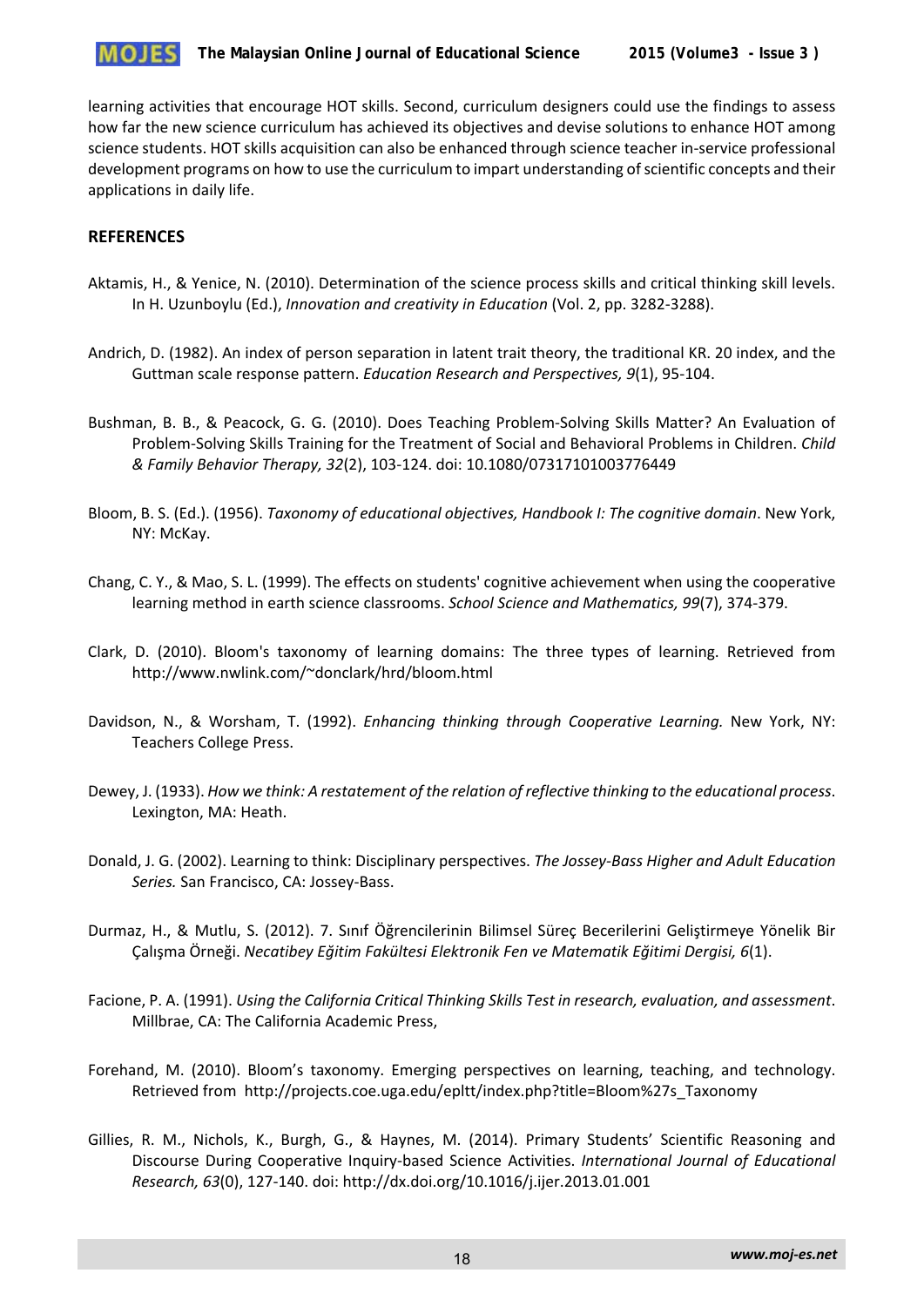

learning activities that encourage HOT skills. Second, curriculum designers could use the findings to assess how far the new science curriculum has achieved its objectives and devise solutions to enhance HOT among science students. HOT skills acquisition can also be enhanced through science teacher in-service professional development programs on how to use the curriculum to impart understanding of scientific concepts and their applications in daily life.

#### **REFERENCES**

- Aktamis, H., & Yenice, N. (2010). Determination of the science process skills and critical thinking skill levels. In H. Uzunboylu (Ed.), *Innovation and creativity in Education* (Vol. 2, pp. 3282-3288).
- Andrich, D. (1982). An index of person separation in latent trait theory, the traditional KR. 20 index, and the Guttman scale response pattern. *Education Research and Perspectives, 9*(1), 95-104.
- Bushman, B. B., & Peacock, G. G. (2010). Does Teaching Problem-Solving Skills Matter? An Evaluation of Problem-Solving Skills Training for the Treatment of Social and Behavioral Problems in Children. *Child & Family Behavior Therapy, 32*(2), 103-124. doi: 10.1080/07317101003776449
- Bloom, B. S. (Ed.). (1956). *Taxonomy of educational objectives, Handbook I: The cognitive domain*. New York, NY: McKay.
- Chang, C. Y., & Mao, S. L. (1999). The effects on students' cognitive achievement when using the cooperative learning method in earth science classrooms. *School Science and Mathematics, 99*(7), 374-379.
- Clark, D. (2010). Bloom's taxonomy of learning domains: The three types of learning. Retrieved from http://www.nwlink.com/~donclark/hrd/bloom.html
- Davidson, N., & Worsham, T. (1992). *Enhancing thinking through Cooperative Learning.* New York, NY: Teachers College Press.
- Dewey, J. (1933). *How we think: A restatement of the relation of reflective thinking to the educational process*. Lexington, MA: Heath.
- Donald, J. G. (2002). Learning to think: Disciplinary perspectives. *The Jossey-Bass Higher and Adult Education Series.* San Francisco, CA: Jossey-Bass.
- Durmaz, H., & Mutlu, S. (2012). 7. Sınıf Öğrencilerinin Bilimsel Süreç Becerilerini Geliştirmeye Yönelik Bir Çalışma Örneği. *Necatibey Eğitim Fakültesi Elektronik Fen ve Matematik Eğitimi Dergisi, 6*(1).
- Facione, P. A. (1991). *Using the California Critical Thinking Skills Test in research, evaluation, and assessment*. Millbrae, CA: The California Academic Press,
- Forehand, M. (2010). Bloom's taxonomy. Emerging perspectives on learning, teaching, and technology. Retrieved from http://projects.coe.uga.edu/epltt/index.php?title=Bloom%27s\_Taxonomy
- Gillies, R. M., Nichols, K., Burgh, G., & Haynes, M. (2014). Primary Students' Scientific Reasoning and Discourse During Cooperative Inquiry-based Science Activities. *International Journal of Educational Research, 63*(0), 127-140. doi: http://dx.doi.org/10.1016/j.ijer.2013.01.001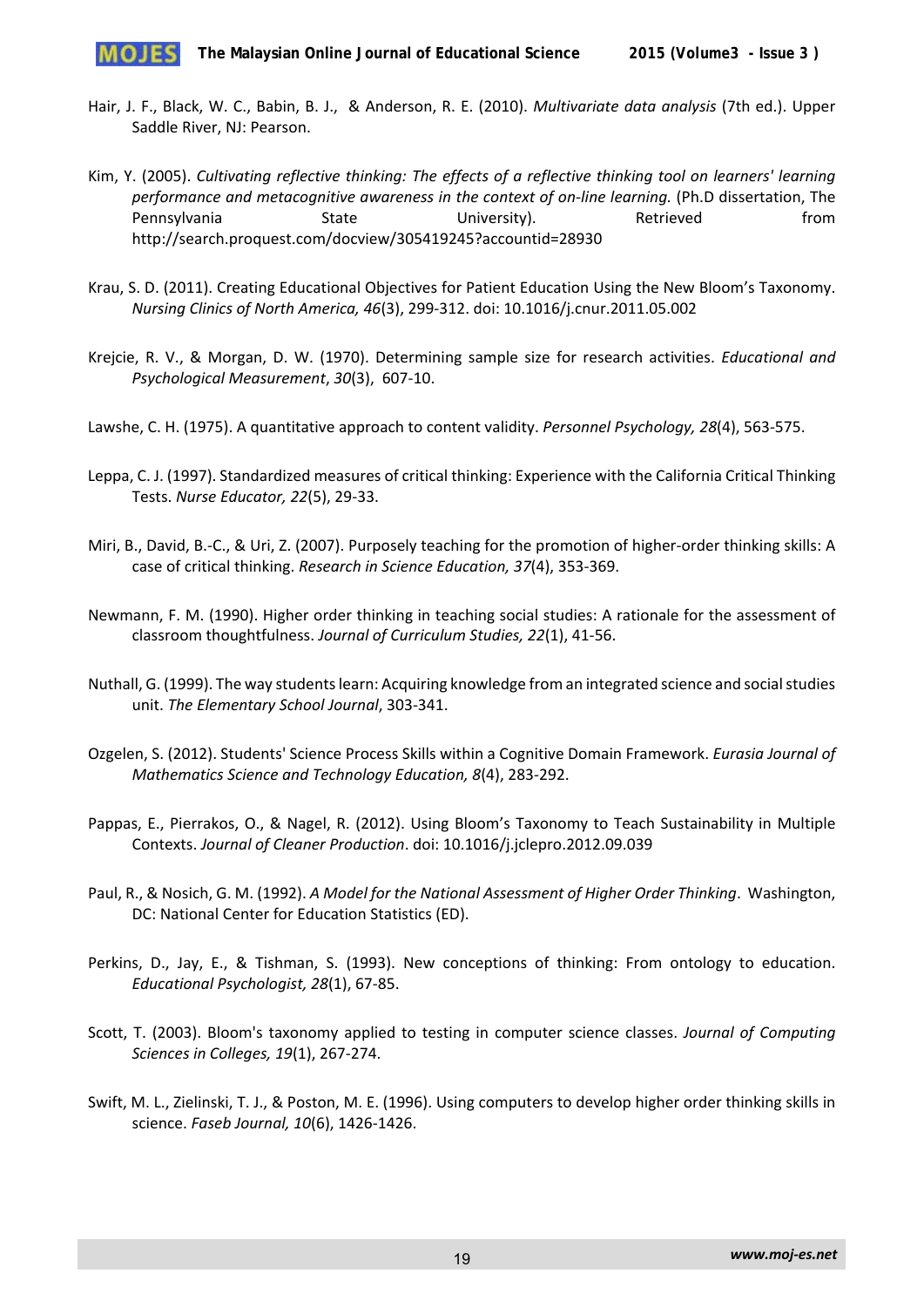

- Hair, J. F., Black, W. C., Babin, B. J., & Anderson, R. E. (2010). *Multivariate data analysis* (7th ed.). Upper Saddle River, NJ: Pearson.
- Kim, Y. (2005). *Cultivating reflective thinking: The effects of a reflective thinking tool on learners' learning performance and metacognitive awareness in the context of on-line learning.* (Ph.D dissertation, The Pennsylvania State University). Retrieved from http://search.proquest.com/docview/305419245?accountid=28930
- Krau, S. D. (2011). Creating Educational Objectives for Patient Education Using the New Bloom's Taxonomy. *Nursing Clinics of North America, 46*(3), 299-312. doi: 10.1016/j.cnur.2011.05.002
- Krejcie, R. V., & Morgan, D. W. (1970). Determining sample size for research activities. *Educational and Psychological Measurement*, *30*(3), 607-10.
- Lawshe, C. H. (1975). A quantitative approach to content validity. *Personnel Psychology, 28*(4), 563-575.
- Leppa, C. J. (1997). Standardized measures of critical thinking: Experience with the California Critical Thinking Tests. *Nurse Educator, 22*(5), 29-33.
- Miri, B., David, B.-C., & Uri, Z. (2007). Purposely teaching for the promotion of higher-order thinking skills: A case of critical thinking. *Research in Science Education, 37*(4), 353-369.
- Newmann, F. M. (1990). Higher order thinking in teaching social studies: A rationale for the assessment of classroom thoughtfulness. *Journal of Curriculum Studies, 22*(1), 41-56.
- Nuthall, G. (1999). The way students learn: Acquiring knowledge from an integrated science and social studies unit. *The Elementary School Journal*, 303-341.
- Ozgelen, S. (2012). Students' Science Process Skills within a Cognitive Domain Framework. *Eurasia Journal of Mathematics Science and Technology Education, 8*(4), 283-292.
- Pappas, E., Pierrakos, O., & Nagel, R. (2012). Using Bloom's Taxonomy to Teach Sustainability in Multiple Contexts. *Journal of Cleaner Production*. doi: 10.1016/j.jclepro.2012.09.039
- Paul, R., & Nosich, G. M. (1992). *A Model for the National Assessment of Higher Order Thinking*. Washington, DC: National Center for Education Statistics (ED).
- Perkins, D., Jay, E., & Tishman, S. (1993). New conceptions of thinking: From ontology to education. *Educational Psychologist, 28*(1), 67-85.
- Scott, T. (2003). Bloom's taxonomy applied to testing in computer science classes. *Journal of Computing Sciences in Colleges, 19*(1), 267-274.
- Swift, M. L., Zielinski, T. J., & Poston, M. E. (1996). Using computers to develop higher order thinking skills in science. *Faseb Journal, 10*(6), 1426-1426.